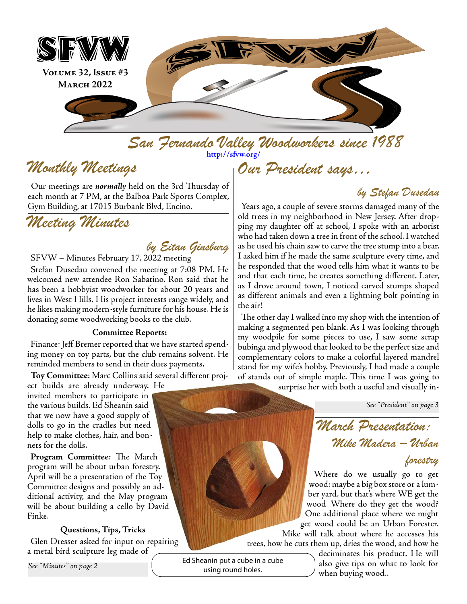

*San Fernando Valley Woodworkers since 1988 Our President says…* **<http://sfvw.org/>**

# *Monthly Meetings*

Our meetings are *normally* held on the 3rd Thursday of each month at 7 PM, at the Balboa Park Sports Complex, Gym Building, at 17015 Burbank Blvd, Encino.

# *Meeting Minutes*

### *by Eitan Ginsburg*

SFVW – Minutes February 17, 2022 meeting

Stefan Dusedau convened the meeting at 7:08 PM. He welcomed new attendee Ron Sabatino. Ron said that he has been a hobbyist woodworker for about 20 years and lives in West Hills. His project interests range widely, and he likes making modern-style furniture for his house. He is donating some woodworking books to the club.

#### **Committee Reports:**

Finance: Jeff Bremer reported that we have started spending money on toy parts, but the club remains solvent. He reminded members to send in their dues payments.

**Toy Committee**: Marc Collins said several different proj-

ect builds are already underway. He invited members to participate in the various builds. Ed Sheanin said that we now have a good supply of dolls to go in the cradles but need help to make clothes, hair, and bonnets for the dolls.

**Program Committee**: The March program will be about urban forestry. April will be a presentation of the Toy Committee designs and possibly an additional activity, and the May program will be about building a cello by David Finke.

### **Questions, Tips, Tricks**

Glen Dresser asked for input on repairing a metal bird sculpture leg made of

*See "Minutes" on page 2*

Ed Sheanin put a cube in a cube using round holes.

*by Stefan Dusedau*

Years ago, a couple of severe storms damaged many of the old trees in my neighborhood in New Jersey. After dropping my daughter off at school, I spoke with an arborist who had taken down a tree in front of the school. I watched as he used his chain saw to carve the tree stump into a bear. I asked him if he made the same sculpture every time, and he responded that the wood tells him what it wants to be and that each time, he creates something different. Later, as I drove around town, I noticed carved stumps shaped as different animals and even a lightning bolt pointing in the air!

The other day I walked into my shop with the intention of making a segmented pen blank. As I was looking through my woodpile for some pieces to use, I saw some scrap bubinga and plywood that looked to be the perfect size and complementary colors to make a colorful layered mandrel stand for my wife's hobby. Previously, I had made a couple of stands out of simple maple. This time I was going to

surprise her with both a useful and visually in-

*See "President" on page 3*

*March Presentation: Mike Madera – Urban* 

*forestry* 

Where do we usually go to get wood: maybe a big box store or a lumber yard, but that's where WE get the wood. Where do they get the wood? One additional place where we might get wood could be an Urban Forester.

Mike will talk about where he accesses his trees, how he cuts them up, dries the wood, and how he

> deciminates his product. He will also give tips on what to look for when buying wood..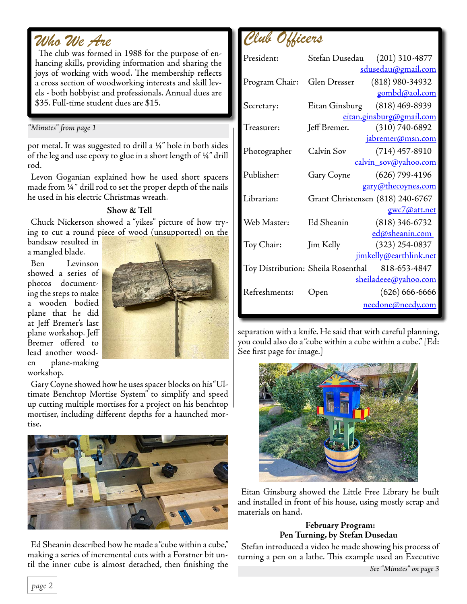# *Who We Are*

The club was formed in 1988 for the purpose of enhancing skills, providing information and sharing the joys of working with wood. The membership reflects a cross section of woodworking interests and skill levels - both hobbyist and professionals. Annual dues are \$35. Full-time student dues are \$15.

#### *"Minutes" from page 1*

pot metal. It was suggested to drill a ¼" hole in both sides of the leg and use epoxy to glue in a short length of ¼" drill rod.

Levon Goganian explained how he used short spacers made from ¼˝ drill rod to set the proper depth of the nails he used in his electric Christmas wreath.

### **Show & Tell**

Chuck Nickerson showed a "yikes" picture of how trying to cut a round piece of wood (unsupported) on the

bandsaw resulted in a mangled blade.

Ben Levinson showed a series of photos documenting the steps to make a wooden bodied plane that he did at Jeff Bremer's last plane workshop. Jeff Bremer offered to lead another wooden plane-making workshop.



Gary Coyne showed how he uses spacer blocks on his "Ultimate Benchtop Mortise System" to simplify and speed up cutting multiple mortises for a project on his benchtop mortiser, including different depths for a haunched mortise.



Ed Sheanin described how he made a "cube within a cube," making a series of incremental cuts with a Forstner bit until the inner cube is almost detached, then finishing the

*Club Officers*

| President:                         | Stefan Dusedau (201) 310-4877    |  |                             |
|------------------------------------|----------------------------------|--|-----------------------------|
|                                    |                                  |  | <u>sdusedau@gmail.com</u>   |
| Program Chair:                     | Glen Dresser                     |  | $(818)$ 980-34932           |
|                                    |                                  |  | gombd@aol.com               |
| Secretary:                         | Eitan Ginsburg (818) 469-8939    |  |                             |
|                                    | eitan.ginsburg@gmail.com         |  |                             |
| Treasurer:                         | Jeff Bremer.                     |  | $(310)$ 740-6892            |
|                                    |                                  |  | jabremer@msn.com            |
| Photographer                       | Calvin Sov                       |  | $(714)$ 457-8910            |
|                                    |                                  |  | calvin_sov@yahoo.com        |
| Publisher:                         | Gary Coyne                       |  | $(626)$ 799-4196            |
|                                    |                                  |  | gary@thecoynes.com          |
| Librarian:                         | Grant Christensen (818) 240-6767 |  |                             |
|                                    |                                  |  | gwc7@att.net                |
| Web Master:                        | Ed Sheanin                       |  | $(818)$ 346-6732            |
|                                    |                                  |  | ed@sheanin.com              |
| Toy Chair:                         | Jim Kelly                        |  | $(323)$ 254-0837            |
|                                    |                                  |  | jimkelly@earthlink.net      |
| Toy Distribution: Sheila Rosenthal |                                  |  | 818-653-4847                |
|                                    |                                  |  | <u>sheiladeee@yahoo.com</u> |
| Refreshments:                      | Open                             |  | $(626) 666 - 6666$          |
|                                    |                                  |  | needone@needy.com           |
|                                    |                                  |  |                             |

separation with a knife. He said that with careful planning, you could also do a "cube within a cube within a cube." [Ed: See first page for image.]



Eitan Ginsburg showed the Little Free Library he built and installed in front of his house, using mostly scrap and materials on hand.

### **February Program: Pen Turning, by Stefan Dusedau**

Stefan introduced a video he made showing his process of turning a pen on a lathe. This example used an Executive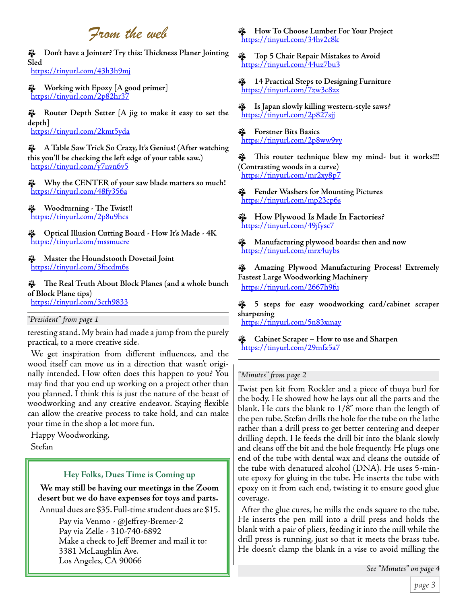# *From the web*

ɵ **Don't have a Jointer? Try this: Thickness Planer Jointing Sled** <https://tinyurl.com/43h3h9mj>

ɵ **Working with Epoxy [A good primer]** <https://tinyurl.com/2p82hr37>

ɵ **Router Depth Setter [A jig to make it easy to set the depth]**  <https://tinyurl.com/2kmt5yda>

ɵ **A Table Saw Trick So Crazy, It's Genius! (After watching this you'll be checking the left edge of your table saw.)** <https://tinyurl.com/y7nvn6v5>

ɵ **Why the CENTER of your saw blade matters so much!** <https://tinyurl.com/48fy356a>

ɵ **Woodturning - The Twist!!** <https://tinyurl.com/2p8u9hcs>

ɵ **Optical Illusion Cutting Board - How It's Made - 4K** <https://tinyurl.com/mssmucre>

ɵ **Master the Houndstooth Dovetail Joint** <https://tinyurl.com/3fncdm6s>

ɵ **The Real Truth About Block Planes (and a whole bunch of Block Plane tips)** <https://tinyurl.com/3crh9833>

#### *"President" from page 1*

teresting stand. My brain had made a jump from the purely practical, to a more creative side.

We get inspiration from different influences, and the wood itself can move us in a direction that wasn't originally intended. How often does this happen to you? You may find that you end up working on a project other than you planned. I think this is just the nature of the beast of woodworking and any creative endeavor. Staying flexible can allow the creative process to take hold, and can make your time in the shop a lot more fun.

Happy Woodworking, Stefan

#### **Hey Folks, Dues Time is Coming up**

**We may still be having our meetings in the Zoom desert but we do have expenses for toys and parts.** 

Annual dues are \$35. Full-time student dues are \$15.

Pay via Venmo - @Jeffrey-Bremer-2 Pay via Zelle - 310-740-6892 Make a check to Jeff Bremer and mail it to: 3381 McLaughlin Ave. Los Angeles, CA 90066

ɵ **How To Choose Lumber For Your Project** <https://tinyurl.com/34hv2c8k>

ɵ **Top 5 Chair Repair Mistakes to Avoid** <https://tinyurl.com/44uz7bu3>

ɵ **14 Practical Steps to Designing Furniture** <https://tinyurl.com/7zw3c8zx>

ɵ **Is Japan slowly killing western-style saws?** <https://tinyurl.com/2p827sjj>

ɵ **Forstner Bits Basics** <https://tinyurl.com/2p8ww9vy>

ɵ **This router technique blew my mind- but it works!!! (Contrasting woods in a curve)** <https://tinyurl.com/mr2xy8p7>

ɵ **Fender Washers for Mounting Pictures** <https://tinyurl.com/mp23cp6s>

ɵ **How Plywood Is Made In Factories?** <https://tinyurl.com/49jfysc7>

ɵ **Manufacturing plywood boards: then and now** <https://tinyurl.com/mrx4uybs>

ɵ **Amazing Plywood Manufacturing Process! Extremely Fastest Large Woodworking Machinery** <https://tinyurl.com/2667h9fu>

ɵ **5 steps for easy woodworking card/cabinet scraper sharpening**

<https://tinyurl.com/5n83xmay>

ɵ **Cabinet Scraper – How to use and Sharpen** <https://tinyurl.com/29mfx5a7>

#### *"Minutes" from page 2*

Twist pen kit from Rockler and a piece of thuya burl for the body. He showed how he lays out all the parts and the blank. He cuts the blank to 1/8" more than the length of the pen tube. Stefan drills the hole for the tube on the lathe rather than a drill press to get better centering and deeper drilling depth. He feeds the drill bit into the blank slowly and cleans off the bit and the hole frequently. He plugs one end of the tube with dental wax and cleans the outside of the tube with denatured alcohol (DNA). He uses 5-minute epoxy for gluing in the tube. He inserts the tube with epoxy on it from each end, twisting it to ensure good glue coverage.

After the glue cures, he mills the ends square to the tube. He inserts the pen mill into a drill press and holds the blank with a pair of pliers, feeding it into the mill while the drill press is running, just so that it meets the brass tube. He doesn't clamp the blank in a vise to avoid milling the

*See "Minutes" on page 4*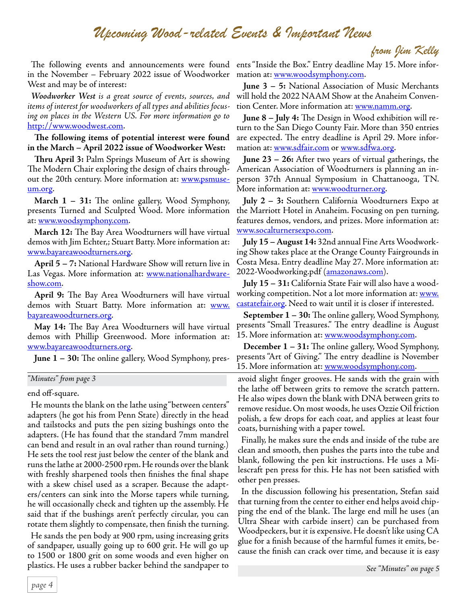### *Upcoming Wood-related Events & Important News*

*from Jim Kelly*

in the November – February 2022 issue of Woodworker mation at: <u>www.woodsymphony.com</u>. West and may be of interest:

*Woodworker West is a great source of events, sources, and items of interest for woodworkers of all types and abilities focusing on places in the Western US. For more information go to* [http://www.woodwest.com.](http://www.woodwest.com)

**The following items of potential interest were found in the March – April 2022 issue of Woodworker West:**

**Thru April 3:** Palm Springs Museum of Art is showing The Modern Chair exploring the design of chairs throughout the 20th century. More information at: **[www.psmuse](http://www.psmuseum.org)**[um.org.](http://www.psmuseum.org)

**March 1 – 31:** The online gallery, Wood Symphony, presents Turned and Sculpted Wood. More information at: [www.woodsymphony.com](http://www.woodsymphony.com).

**March 12:** The Bay Area Woodturners will have virtual demos with Jim Echter,; Stuart Batty. More information at: [www.bayareawoodturners.org](http://www.bayareawoodturners.org).

**April 5 – 7:** National Hardware Show will return live in Las Vegas. More information at: **[www.nationalhardware](http://www.nationalhardwareshow.com)**[show.com.](http://www.nationalhardwareshow.com)

**April 9:** The Bay Area Woodturners will have virtual demos with Stuart Batty. More information at: **[www.](http://www.bayareawoodturners.org)** [bayareawoodturners.org](http://www.bayareawoodturners.org).

**May 14:** The Bay Area Woodturners will have virtual demos with Phillip Greenwood. More information at: [www.bayareawoodturners.org](http://www.bayareawoodturners.org).

**June 1 – 30:** The online gallery, Wood Symphony, pres-

*"Minutes" from page 3*

end off-square.

He mounts the blank on the lathe using "between centers" adapters (he got his from Penn State) directly in the head and tailstocks and puts the pen sizing bushings onto the adapters. (He has found that the standard 7mm mandrel can bend and result in an oval rather than round turning.) He sets the tool rest just below the center of the blank and runs the lathe at 2000-2500 rpm. He rounds over the blank with freshly sharpened tools then finishes the final shape with a skew chisel used as a scraper. Because the adapters/centers can sink into the Morse tapers while turning, he will occasionally check and tighten up the assembly. He said that if the bushings aren't perfectly circular, you can rotate them slightly to compensate, then finish the turning.

He sands the pen body at 900 rpm, using increasing grits of sandpaper, usually going up to 600 grit. He will go up to 1500 or 1800 grit on some woods and even higher on plastics. He uses a rubber backer behind the sandpaper to

The following events and announcements were found ents "Inside the Box." Entry deadline May 15. More infor-

**June 3 – 5:** National Association of Music Merchants will hold the 2022 NAAM Show at the Anaheim Convention Center. More information at: [www.namm.org.](http://www.namm.org)

**June 8 – July 4:** The Design in Wood exhibition will return to the San Diego County Fair. More than 350 entries are expected. The entry deadline is April 29. More information at: [www.sdfair.com](http://www.sdfair.com) or [www.sdfwa.org.](http://www.sdfwa.org)

**June 23 – 26:** After two years of virtual gatherings, the American Association of Woodturners is planning an inperson 37th Annual Symposium in Chattanooga, TN. More information at: [www.woodturner.org](http://www.woodturner.org).

**July 2 – 3:** Southern California Woodturners Expo at the Marriott Hotel in Anaheim. Focusing on pen turning, features demos, vendors, and prizes. More information at: [www.socalturnersexpo.com.](http://www.socalturnersexpo.com)

**July 15 – August 14:** 32nd annual Fine Arts Woodworking Show takes place at the Orange County Fairgrounds in Costa Mesa. Entry deadline May 27. More information at: 2022-Woodworking.pdf [\(amazonaws.com\)](http://amazonaws.com).

**July 15 – 31:** California State Fair will also have a woodworking competition. Not a lot more information at: [www.](http://www.castatefair.org) [castatefair.org.](http://www.castatefair.org) Need to wait until it is closer if interested.

**September 1 – 30:** The online gallery, Wood Symphony, presents "Small Treasures." The entry deadline is August 15. More information at: [www.woodsymphony.com.](http://www.woodsymphony.com)

**December 1 – 31:** The online gallery, Wood Symphony, presents "Art of Giving." The entry deadline is November 15. More information at: [www.woodsymphony.com.](http://www.woodsymphony.com)

avoid slight finger grooves. He sands with the grain with the lathe off between grits to remove the scratch pattern. He also wipes down the blank with DNA between grits to remove residue. On most woods, he uses Ozzie Oil friction polish, a few drops for each coat, and applies at least four coats, burnishing with a paper towel.

Finally, he makes sure the ends and inside of the tube are clean and smooth, then pushes the parts into the tube and blank, following the pen kit instructions. He uses a Milescraft pen press for this. He has not been satisfied with other pen presses.

In the discussion following his presentation, Stefan said that turning from the center to either end helps avoid chipping the end of the blank. The large end mill he uses (an Ultra Shear with carbide insert) can be purchased from Woodpeckers, but it is expensive. He doesn't like using CA glue for a finish because of the harmful fumes it emits, because the finish can crack over time, and because it is easy